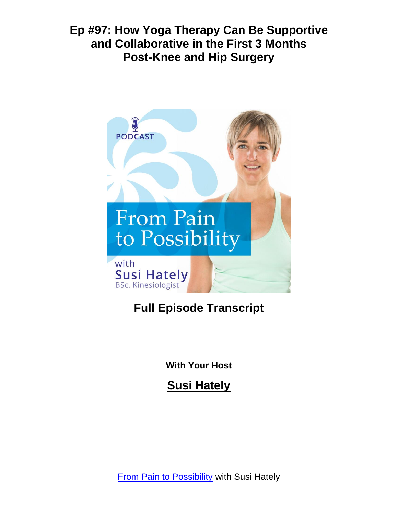

# **Full Episode Transcript**

**With Your Host**

**Susi Hately**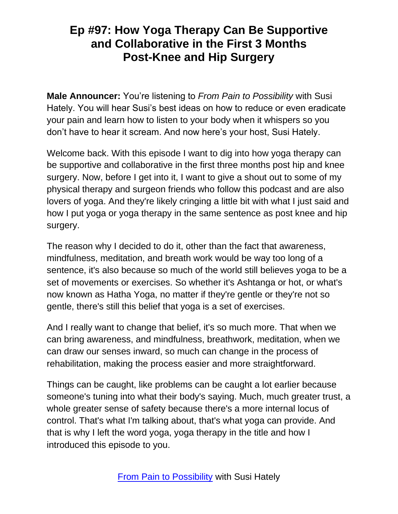**Male Announcer:** You're listening to *From Pain to Possibility* with Susi Hately. You will hear Susi's best ideas on how to reduce or even eradicate your pain and learn how to listen to your body when it whispers so you don't have to hear it scream. And now here's your host, Susi Hately.

Welcome back. With this episode I want to dig into how yoga therapy can be supportive and collaborative in the first three months post hip and knee surgery. Now, before I get into it, I want to give a shout out to some of my physical therapy and surgeon friends who follow this podcast and are also lovers of yoga. And they're likely cringing a little bit with what I just said and how I put yoga or yoga therapy in the same sentence as post knee and hip surgery.

The reason why I decided to do it, other than the fact that awareness, mindfulness, meditation, and breath work would be way too long of a sentence, it's also because so much of the world still believes yoga to be a set of movements or exercises. So whether it's Ashtanga or hot, or what's now known as Hatha Yoga, no matter if they're gentle or they're not so gentle, there's still this belief that yoga is a set of exercises.

And I really want to change that belief, it's so much more. That when we can bring awareness, and mindfulness, breathwork, meditation, when we can draw our senses inward, so much can change in the process of rehabilitation, making the process easier and more straightforward.

Things can be caught, like problems can be caught a lot earlier because someone's tuning into what their body's saying. Much, much greater trust, a whole greater sense of safety because there's a more internal locus of control. That's what I'm talking about, that's what yoga can provide. And that is why I left the word yoga, yoga therapy in the title and how I introduced this episode to you.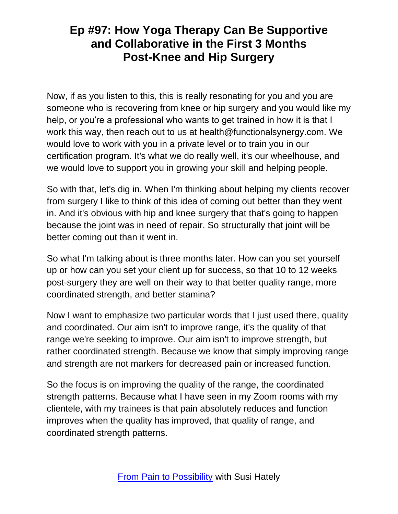Now, if as you listen to this, this is really resonating for you and you are someone who is recovering from knee or hip surgery and you would like my help, or you're a professional who wants to get trained in how it is that I work this way, then reach out to us at health@functionalsynergy.com. We would love to work with you in a private level or to train you in our certification program. It's what we do really well, it's our wheelhouse, and we would love to support you in growing your skill and helping people.

So with that, let's dig in. When I'm thinking about helping my clients recover from surgery I like to think of this idea of coming out better than they went in. And it's obvious with hip and knee surgery that that's going to happen because the joint was in need of repair. So structurally that joint will be better coming out than it went in.

So what I'm talking about is three months later. How can you set yourself up or how can you set your client up for success, so that 10 to 12 weeks post-surgery they are well on their way to that better quality range, more coordinated strength, and better stamina?

Now I want to emphasize two particular words that I just used there, quality and coordinated. Our aim isn't to improve range, it's the quality of that range we're seeking to improve. Our aim isn't to improve strength, but rather coordinated strength. Because we know that simply improving range and strength are not markers for decreased pain or increased function.

So the focus is on improving the quality of the range, the coordinated strength patterns. Because what I have seen in my Zoom rooms with my clientele, with my trainees is that pain absolutely reduces and function improves when the quality has improved, that quality of range, and coordinated strength patterns.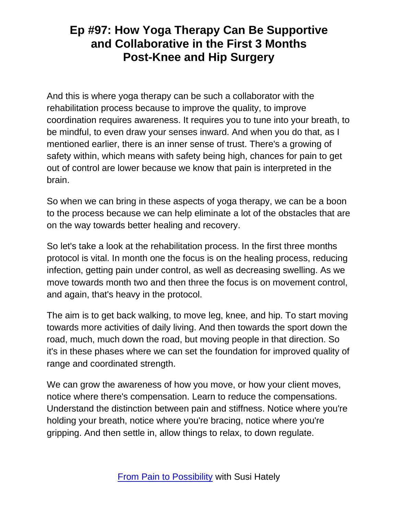And this is where yoga therapy can be such a collaborator with the rehabilitation process because to improve the quality, to improve coordination requires awareness. It requires you to tune into your breath, to be mindful, to even draw your senses inward. And when you do that, as I mentioned earlier, there is an inner sense of trust. There's a growing of safety within, which means with safety being high, chances for pain to get out of control are lower because we know that pain is interpreted in the brain.

So when we can bring in these aspects of yoga therapy, we can be a boon to the process because we can help eliminate a lot of the obstacles that are on the way towards better healing and recovery.

So let's take a look at the rehabilitation process. In the first three months protocol is vital. In month one the focus is on the healing process, reducing infection, getting pain under control, as well as decreasing swelling. As we move towards month two and then three the focus is on movement control, and again, that's heavy in the protocol.

The aim is to get back walking, to move leg, knee, and hip. To start moving towards more activities of daily living. And then towards the sport down the road, much, much down the road, but moving people in that direction. So it's in these phases where we can set the foundation for improved quality of range and coordinated strength.

We can grow the awareness of how you move, or how your client moves, notice where there's compensation. Learn to reduce the compensations. Understand the distinction between pain and stiffness. Notice where you're holding your breath, notice where you're bracing, notice where you're gripping. And then settle in, allow things to relax, to down regulate.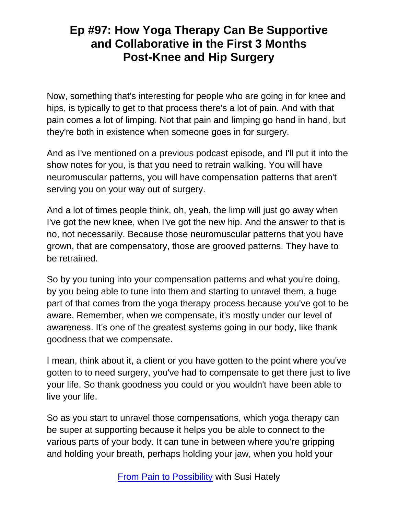Now, something that's interesting for people who are going in for knee and hips, is typically to get to that process there's a lot of pain. And with that pain comes a lot of limping. Not that pain and limping go hand in hand, but they're both in existence when someone goes in for surgery.

And as I've mentioned on a previous podcast episode, and I'll put it into the show notes for you, is that you need to retrain walking. You will have neuromuscular patterns, you will have compensation patterns that aren't serving you on your way out of surgery.

And a lot of times people think, oh, yeah, the limp will just go away when I've got the new knee, when I've got the new hip. And the answer to that is no, not necessarily. Because those neuromuscular patterns that you have grown, that are compensatory, those are grooved patterns. They have to be retrained.

So by you tuning into your compensation patterns and what you're doing, by you being able to tune into them and starting to unravel them, a huge part of that comes from the yoga therapy process because you've got to be aware. Remember, when we compensate, it's mostly under our level of awareness. It's one of the greatest systems going in our body, like thank goodness that we compensate.

I mean, think about it, a client or you have gotten to the point where you've gotten to to need surgery, you've had to compensate to get there just to live your life. So thank goodness you could or you wouldn't have been able to live your life.

So as you start to unravel those compensations, which yoga therapy can be super at supporting because it helps you be able to connect to the various parts of your body. It can tune in between where you're gripping and holding your breath, perhaps holding your jaw, when you hold your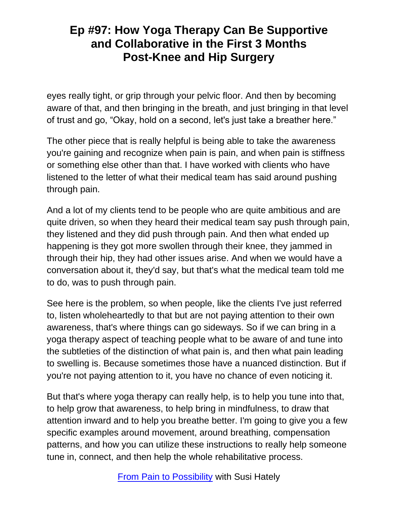eyes really tight, or grip through your pelvic floor. And then by becoming aware of that, and then bringing in the breath, and just bringing in that level of trust and go, "Okay, hold on a second, let's just take a breather here."

The other piece that is really helpful is being able to take the awareness you're gaining and recognize when pain is pain, and when pain is stiffness or something else other than that. I have worked with clients who have listened to the letter of what their medical team has said around pushing through pain.

And a lot of my clients tend to be people who are quite ambitious and are quite driven, so when they heard their medical team say push through pain, they listened and they did push through pain. And then what ended up happening is they got more swollen through their knee, they jammed in through their hip, they had other issues arise. And when we would have a conversation about it, they'd say, but that's what the medical team told me to do, was to push through pain.

See here is the problem, so when people, like the clients I've just referred to, listen wholeheartedly to that but are not paying attention to their own awareness, that's where things can go sideways. So if we can bring in a yoga therapy aspect of teaching people what to be aware of and tune into the subtleties of the distinction of what pain is, and then what pain leading to swelling is. Because sometimes those have a nuanced distinction. But if you're not paying attention to it, you have no chance of even noticing it.

But that's where yoga therapy can really help, is to help you tune into that, to help grow that awareness, to help bring in mindfulness, to draw that attention inward and to help you breathe better. I'm going to give you a few specific examples around movement, around breathing, compensation patterns, and how you can utilize these instructions to really help someone tune in, connect, and then help the whole rehabilitative process.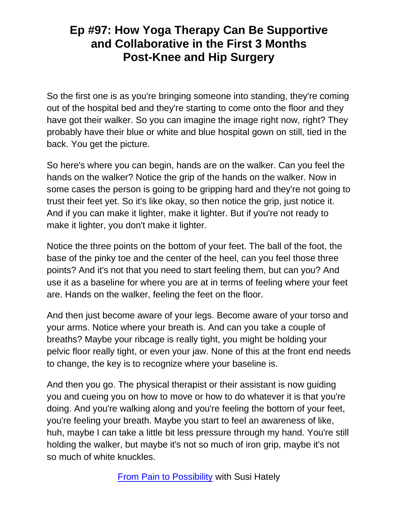So the first one is as you're bringing someone into standing, they're coming out of the hospital bed and they're starting to come onto the floor and they have got their walker. So you can imagine the image right now, right? They probably have their blue or white and blue hospital gown on still, tied in the back. You get the picture.

So here's where you can begin, hands are on the walker. Can you feel the hands on the walker? Notice the grip of the hands on the walker. Now in some cases the person is going to be gripping hard and they're not going to trust their feet yet. So it's like okay, so then notice the grip, just notice it. And if you can make it lighter, make it lighter. But if you're not ready to make it lighter, you don't make it lighter.

Notice the three points on the bottom of your feet. The ball of the foot, the base of the pinky toe and the center of the heel, can you feel those three points? And it's not that you need to start feeling them, but can you? And use it as a baseline for where you are at in terms of feeling where your feet are. Hands on the walker, feeling the feet on the floor.

And then just become aware of your legs. Become aware of your torso and your arms. Notice where your breath is. And can you take a couple of breaths? Maybe your ribcage is really tight, you might be holding your pelvic floor really tight, or even your jaw. None of this at the front end needs to change, the key is to recognize where your baseline is.

And then you go. The physical therapist or their assistant is now guiding you and cueing you on how to move or how to do whatever it is that you're doing. And you're walking along and you're feeling the bottom of your feet, you're feeling your breath. Maybe you start to feel an awareness of like, huh, maybe I can take a little bit less pressure through my hand. You're still holding the walker, but maybe it's not so much of iron grip, maybe it's not so much of white knuckles.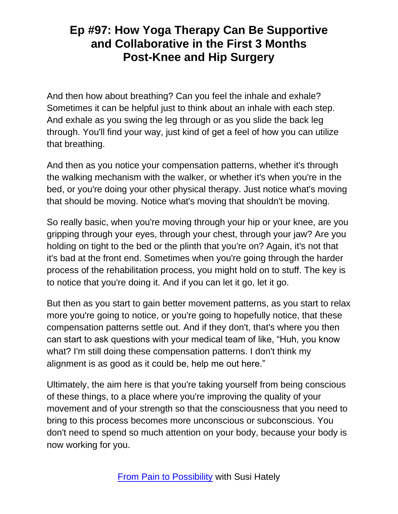And then how about breathing? Can you feel the inhale and exhale? Sometimes it can be helpful just to think about an inhale with each step. And exhale as you swing the leg through or as you slide the back leg through. You'll find your way, just kind of get a feel of how you can utilize that breathing.

And then as you notice your compensation patterns, whether it's through the walking mechanism with the walker, or whether it's when you're in the bed, or you're doing your other physical therapy. Just notice what's moving that should be moving. Notice what's moving that shouldn't be moving.

So really basic, when you're moving through your hip or your knee, are you gripping through your eyes, through your chest, through your jaw? Are you holding on tight to the bed or the plinth that you're on? Again, it's not that it's bad at the front end. Sometimes when you're going through the harder process of the rehabilitation process, you might hold on to stuff. The key is to notice that you're doing it. And if you can let it go, let it go.

But then as you start to gain better movement patterns, as you start to relax more you're going to notice, or you're going to hopefully notice, that these compensation patterns settle out. And if they don't, that's where you then can start to ask questions with your medical team of like, "Huh, you know what? I'm still doing these compensation patterns. I don't think my alignment is as good as it could be, help me out here."

Ultimately, the aim here is that you're taking yourself from being conscious of these things, to a place where you're improving the quality of your movement and of your strength so that the consciousness that you need to bring to this process becomes more unconscious or subconscious. You don't need to spend so much attention on your body, because your body is now working for you.